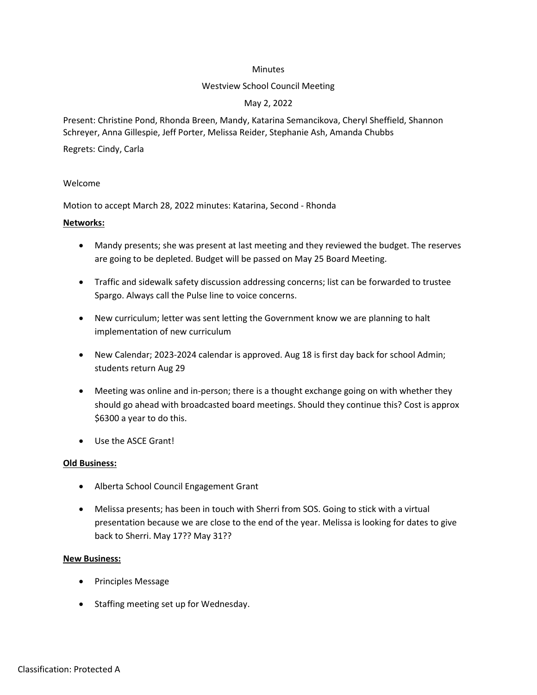#### Minutes

#### Westview School Council Meeting

# May 2, 2022

Present: Christine Pond, Rhonda Breen, Mandy, Katarina Semancikova, Cheryl Sheffield, Shannon Schreyer, Anna Gillespie, Jeff Porter, Melissa Reider, Stephanie Ash, Amanda Chubbs

Regrets: Cindy, Carla

#### Welcome

Motion to accept March 28, 2022 minutes: Katarina, Second - Rhonda

# Networks:

- Mandy presents; she was present at last meeting and they reviewed the budget. The reserves are going to be depleted. Budget will be passed on May 25 Board Meeting.
- Traffic and sidewalk safety discussion addressing concerns; list can be forwarded to trustee Spargo. Always call the Pulse line to voice concerns.
- New curriculum; letter was sent letting the Government know we are planning to halt implementation of new curriculum
- New Calendar; 2023-2024 calendar is approved. Aug 18 is first day back for school Admin; students return Aug 29
- Meeting was online and in-person; there is a thought exchange going on with whether they should go ahead with broadcasted board meetings. Should they continue this? Cost is approx \$6300 a year to do this.
- Use the ASCE Grant!

# Old Business:

- Alberta School Council Engagement Grant
- Melissa presents; has been in touch with Sherri from SOS. Going to stick with a virtual presentation because we are close to the end of the year. Melissa is looking for dates to give back to Sherri. May 17?? May 31??

#### New Business:

- Principles Message
- Staffing meeting set up for Wednesday.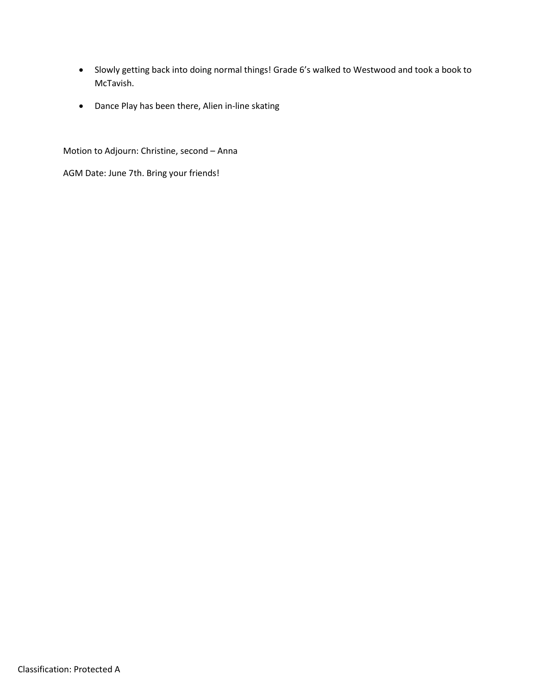- Slowly getting back into doing normal things! Grade 6's walked to Westwood and took a book to McTavish.
- Dance Play has been there, Alien in-line skating

Motion to Adjourn: Christine, second – Anna

AGM Date: June 7th. Bring your friends!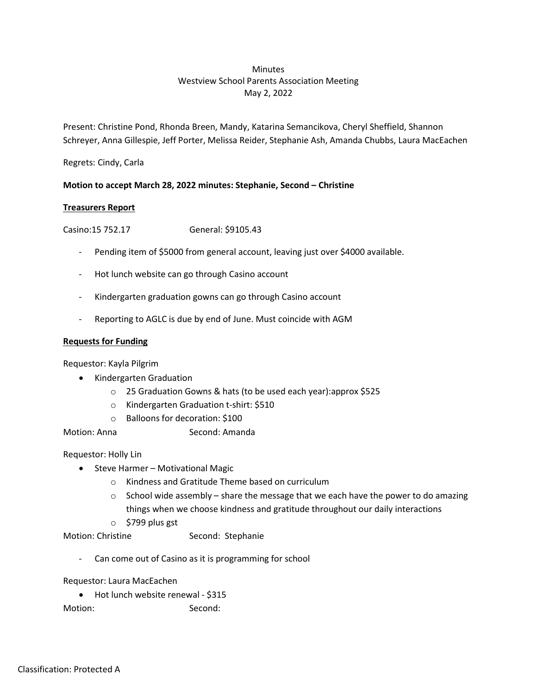# **Minutes** Westview School Parents Association Meeting May 2, 2022

Present: Christine Pond, Rhonda Breen, Mandy, Katarina Semancikova, Cheryl Sheffield, Shannon Schreyer, Anna Gillespie, Jeff Porter, Melissa Reider, Stephanie Ash, Amanda Chubbs, Laura MacEachen

Regrets: Cindy, Carla

# Motion to accept March 28, 2022 minutes: Stephanie, Second – Christine

# Treasurers Report

Casino:15 752.17 General: \$9105.43

- Pending item of \$5000 from general account, leaving just over \$4000 available.
- Hot lunch website can go through Casino account
- Kindergarten graduation gowns can go through Casino account
- Reporting to AGLC is due by end of June. Must coincide with AGM

#### Requests for Funding

Requestor: Kayla Pilgrim

- Kindergarten Graduation
	- o 25 Graduation Gowns & hats (to be used each year):approx \$525
	- o Kindergarten Graduation t-shirt: \$510
	- o Balloons for decoration: \$100
- Motion: Anna Second: Amanda

Requestor: Holly Lin

- Steve Harmer Motivational Magic
	- o Kindness and Gratitude Theme based on curriculum
	- $\circ$  School wide assembly share the message that we each have the power to do amazing things when we choose kindness and gratitude throughout our daily interactions
	- o \$799 plus gst

Motion: Christine Second: Stephanie

- Can come out of Casino as it is programming for school

Requestor: Laura MacEachen

• Hot lunch website renewal - \$315

Motion: Second: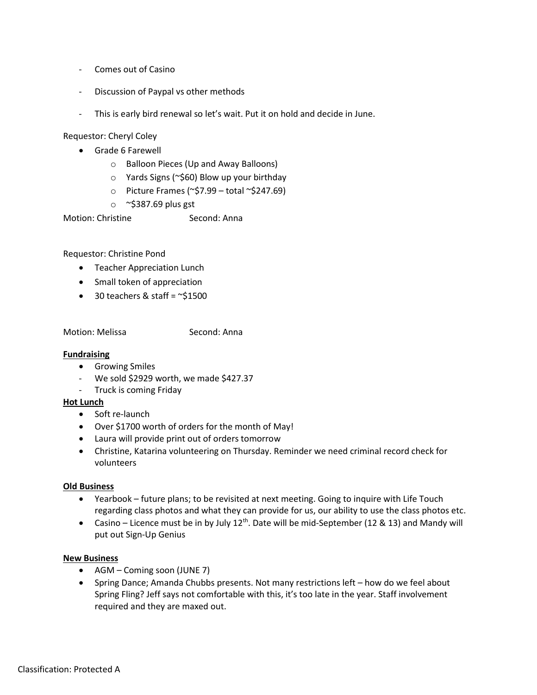- Comes out of Casino
- Discussion of Paypal vs other methods
- This is early bird renewal so let's wait. Put it on hold and decide in June.

#### Requestor: Cheryl Coley

- Grade 6 Farewell
	- o Balloon Pieces (Up and Away Balloons)
	- o Yards Signs (~\$60) Blow up your birthday
	- o Picture Frames ( $\degree$ \$7.99 total  $\degree$ \$247.69)
	- $\circ$  ~\$387.69 plus gst

Motion: Christine Second: Anna

# Requestor: Christine Pond

- **•** Teacher Appreciation Lunch
- Small token of appreciation
- $\bullet$  30 teachers & staff = ~\$1500

Motion: Melissa Second: Anna

# **Fundraising**

- **•** Growing Smiles
- We sold \$2929 worth, we made \$427.37
- Truck is coming Friday

# Hot Lunch

- Soft re-launch
- Over \$1700 worth of orders for the month of May!
- Laura will provide print out of orders tomorrow
- Christine, Katarina volunteering on Thursday. Reminder we need criminal record check for volunteers

# Old Business

- Yearbook future plans; to be revisited at next meeting. Going to inquire with Life Touch regarding class photos and what they can provide for us, our ability to use the class photos etc.
- Casino Licence must be in by July  $12<sup>th</sup>$ . Date will be mid-September (12 & 13) and Mandy will put out Sign-Up Genius

# New Business

- AGM Coming soon (JUNE 7)
- Spring Dance; Amanda Chubbs presents. Not many restrictions left how do we feel about Spring Fling? Jeff says not comfortable with this, it's too late in the year. Staff involvement required and they are maxed out.